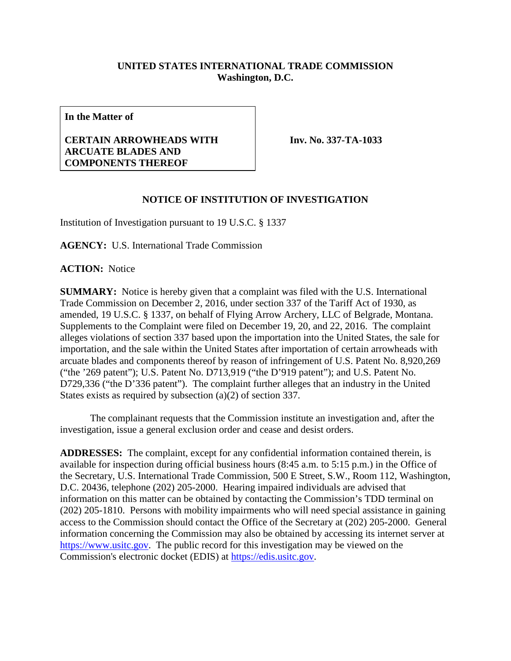## **UNITED STATES INTERNATIONAL TRADE COMMISSION Washington, D.C.**

**In the Matter of**

## **CERTAIN ARROWHEADS WITH ARCUATE BLADES AND COMPONENTS THEREOF**

**Inv. No. 337-TA-1033**

## **NOTICE OF INSTITUTION OF INVESTIGATION**

Institution of Investigation pursuant to 19 U.S.C. § 1337

**AGENCY:** U.S. International Trade Commission

**ACTION:** Notice

**SUMMARY:** Notice is hereby given that a complaint was filed with the U.S. International Trade Commission on December 2, 2016, under section 337 of the Tariff Act of 1930, as amended, 19 U.S.C. § 1337, on behalf of Flying Arrow Archery, LLC of Belgrade, Montana. Supplements to the Complaint were filed on December 19, 20, and 22, 2016. The complaint alleges violations of section 337 based upon the importation into the United States, the sale for importation, and the sale within the United States after importation of certain arrowheads with arcuate blades and components thereof by reason of infringement of U.S. Patent No. 8,920,269 ("the '269 patent"); U.S. Patent No. D713,919 ("the D'919 patent"); and U.S. Patent No. D729,336 ("the D'336 patent"). The complaint further alleges that an industry in the United States exists as required by subsection (a)(2) of section 337.

The complainant requests that the Commission institute an investigation and, after the investigation, issue a general exclusion order and cease and desist orders.

**ADDRESSES:** The complaint, except for any confidential information contained therein, is available for inspection during official business hours (8:45 a.m. to 5:15 p.m.) in the Office of the Secretary, U.S. International Trade Commission, 500 E Street, S.W., Room 112, Washington, D.C. 20436, telephone (202) 205-2000. Hearing impaired individuals are advised that information on this matter can be obtained by contacting the Commission's TDD terminal on (202) 205-1810. Persons with mobility impairments who will need special assistance in gaining access to the Commission should contact the Office of the Secretary at (202) 205-2000. General information concerning the Commission may also be obtained by accessing its internet server at [https://www.usitc.gov.](https://www.usitc.gov/) The public record for this investigation may be viewed on the Commission's electronic docket (EDIS) at [https://edis.usitc.gov.](https://edis.usitc.gov/)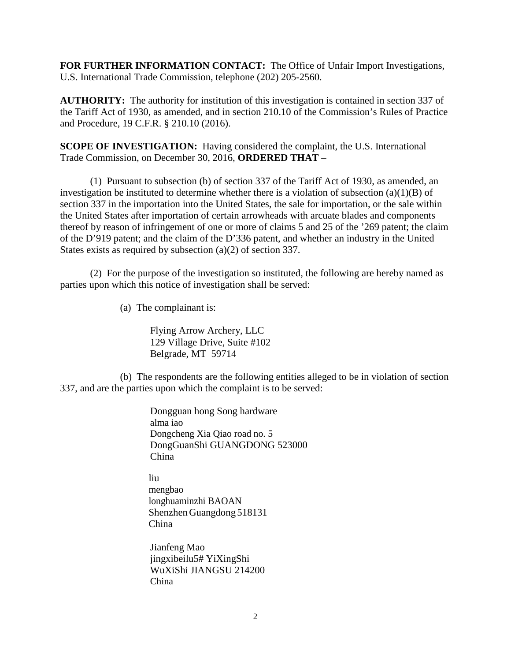**FOR FURTHER INFORMATION CONTACT:** The Office of Unfair Import Investigations, U.S. International Trade Commission, telephone (202) 205-2560.

**AUTHORITY:** The authority for institution of this investigation is contained in section 337 of the Tariff Act of 1930, as amended, and in section 210.10 of the Commission's Rules of Practice and Procedure, 19 C.F.R. § 210.10 (2016).

**SCOPE OF INVESTIGATION:** Having considered the complaint, the U.S. International Trade Commission, on December 30, 2016, **ORDERED THAT** –

(1) Pursuant to subsection (b) of section 337 of the Tariff Act of 1930, as amended, an investigation be instituted to determine whether there is a violation of subsection  $(a)(1)(B)$  of section 337 in the importation into the United States, the sale for importation, or the sale within the United States after importation of certain arrowheads with arcuate blades and components thereof by reason of infringement of one or more of claims 5 and 25 of the '269 patent; the claim of the D'919 patent; and the claim of the D'336 patent, and whether an industry in the United States exists as required by subsection (a)(2) of section 337.

(2) For the purpose of the investigation so instituted, the following are hereby named as parties upon which this notice of investigation shall be served:

(a) The complainant is:

Flying Arrow Archery, LLC 129 Village Drive, Suite #102 Belgrade, MT 59714

(b) The respondents are the following entities alleged to be in violation of section 337, and are the parties upon which the complaint is to be served:

> Dongguan hong Song hardware alma iao Dongcheng Xia Qiao road no. 5 DongGuanShi GUANGDONG 523000 China

liu mengbao longhuaminzhi BAOAN Shenzhen Guangdong 518131 China

Jianfeng Mao jingxibeilu5# YiXingShi WuXiShi JIANGSU 214200 China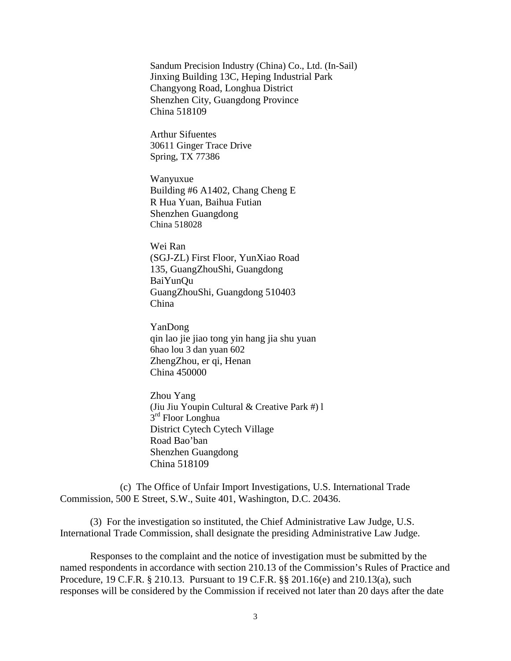Sandum Precision Industry (China) Co., Ltd. (In-Sail) Jinxing Building 13C, Heping Industrial Park Changyong Road, Longhua District Shenzhen City, Guangdong Province China 518109

Arthur Sifuentes 30611 Ginger Trace Drive Spring, TX 77386

Wanyuxue Building #6 A1402, Chang Cheng E R Hua Yuan, Baihua Futian Shenzhen Guangdong China 518028

Wei Ran (SGJ-ZL) First Floor, YunXiao Road 135, GuangZhouShi, Guangdong BaiYunQu GuangZhouShi, Guangdong 510403 China

YanDong qin lao jie jiao tong yin hang jia shu yuan 6hao lou 3 dan yuan 602 ZhengZhou, er qi, Henan China 450000

Zhou Yang (Jiu Jiu Youpin Cultural & Creative Park #) l 3<sup>rd</sup> Floor Longhua District Cytech Cytech Village Road Bao'ban Shenzhen Guangdong China 518109

(c) The Office of Unfair Import Investigations, U.S. International Trade Commission, 500 E Street, S.W., Suite 401, Washington, D.C. 20436.

(3) For the investigation so instituted, the Chief Administrative Law Judge, U.S. International Trade Commission, shall designate the presiding Administrative Law Judge.

Responses to the complaint and the notice of investigation must be submitted by the named respondents in accordance with section 210.13 of the Commission's Rules of Practice and Procedure, 19 C.F.R. § 210.13. Pursuant to 19 C.F.R. §§ 201.16(e) and 210.13(a), such responses will be considered by the Commission if received not later than 20 days after the date